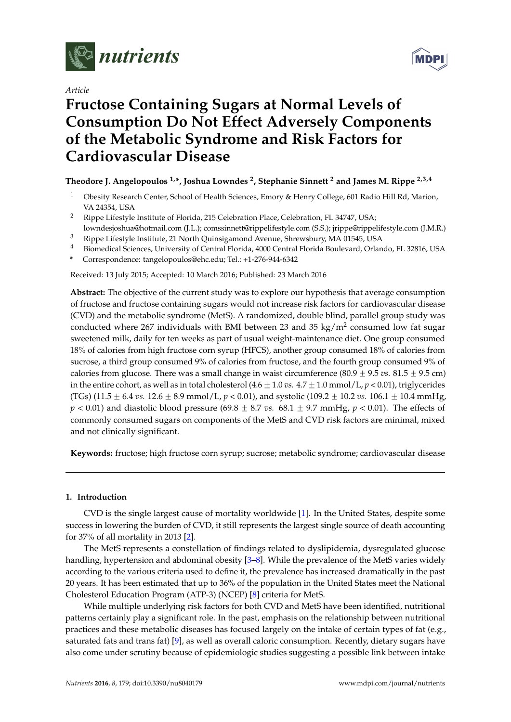

*Article*



# **Fructose Containing Sugars at Normal Levels of Consumption Do Not Effect Adversely Components of the Metabolic Syndrome and Risk Factors for Cardiovascular Disease**

# **Theodore J. Angelopoulos 1,\*, Joshua Lowndes <sup>2</sup> , Stephanie Sinnett <sup>2</sup> and James M. Rippe 2,3,4**

- <sup>1</sup> Obesity Research Center, School of Health Sciences, Emory & Henry College, 601 Radio Hill Rd, Marion, VA 24354, USA
- <sup>2</sup> Rippe Lifestyle Institute of Florida, 215 Celebration Place, Celebration, FL 34747, USA;
- lowndesjoshua@hotmail.com (J.L.); comssinnett@rippelifestyle.com (S.S.); jrippe@rippelifestyle.com (J.M.R.) <sup>3</sup> Rippe Lifestyle Institute, 21 North Quinsigamond Avenue, Shrewsbury, MA 01545, USA
- <sup>4</sup> Biomedical Sciences, University of Central Florida, 4000 Central Florida Boulevard, Orlando, FL 32816, USA
- **\*** Correspondence: tangelopoulos@ehc.edu; Tel.: +1-276-944-6342

Received: 13 July 2015; Accepted: 10 March 2016; Published: 23 March 2016

**Abstract:** The objective of the current study was to explore our hypothesis that average consumption of fructose and fructose containing sugars would not increase risk factors for cardiovascular disease (CVD) and the metabolic syndrome (MetS). A randomized, double blind, parallel group study was conducted where 267 individuals with BMI between 23 and 35 kg/m<sup>2</sup> consumed low fat sugar sweetened milk, daily for ten weeks as part of usual weight-maintenance diet. One group consumed 18% of calories from high fructose corn syrup (HFCS), another group consumed 18% of calories from sucrose, a third group consumed 9% of calories from fructose, and the fourth group consumed 9% of calories from glucose. There was a small change in waist circumference  $(80.9 \pm 9.5 \text{ vs. } 81.5 \pm 9.5 \text{ cm})$ in the entire cohort, as well as in total cholesterol  $(4.6 \pm 1.0 \text{ vs. } 4.7 \pm 1.0 \text{ mmol/L}, p < 0.01)$ , triglycerides (TGs) (11.5  $\pm$  6.4 *vs.* 12.6  $\pm$  8.9 mmol/L, *p* < 0.01), and systolic (109.2  $\pm$  10.2 *vs.* 106.1  $\pm$  10.4 mmHg,  $p < 0.01$ ) and diastolic blood pressure  $(69.8 \pm 8.7 \text{ vs. } 68.1 \pm 9.7 \text{ mmHg}, p < 0.01)$ . The effects of commonly consumed sugars on components of the MetS and CVD risk factors are minimal, mixed and not clinically significant.

**Keywords:** fructose; high fructose corn syrup; sucrose; metabolic syndrome; cardiovascular disease

# **1. Introduction**

CVD is the single largest cause of mortality worldwide [\[1\]](#page-10-0). In the United States, despite some success in lowering the burden of CVD, it still represents the largest single source of death accounting for 37% of all mortality in 2013 [\[2\]](#page-10-1).

The MetS represents a constellation of findings related to dyslipidemia, dysregulated glucose handling, hypertension and abdominal obesity [\[3](#page-10-2)[–8\]](#page-10-3). While the prevalence of the MetS varies widely according to the various criteria used to define it, the prevalence has increased dramatically in the past 20 years. It has been estimated that up to 36% of the population in the United States meet the National Cholesterol Education Program (ATP-3) (NCEP) [\[8\]](#page-10-3) criteria for MetS.

While multiple underlying risk factors for both CVD and MetS have been identified, nutritional patterns certainly play a significant role. In the past, emphasis on the relationship between nutritional practices and these metabolic diseases has focused largely on the intake of certain types of fat (e.g., saturated fats and trans fat) [\[9\]](#page-10-4), as well as overall caloric consumption. Recently, dietary sugars have also come under scrutiny because of epidemiologic studies suggesting a possible link between intake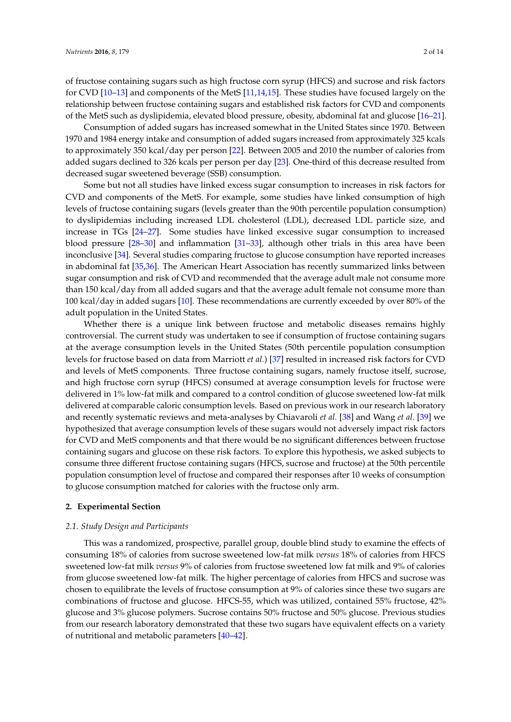of fructose containing sugars such as high fructose corn syrup (HFCS) and sucrose and risk factors for CVD [\[10–](#page-10-5)[13\]](#page-10-6) and components of the MetS [\[11](#page-10-7)[,14](#page-10-8)[,15\]](#page-10-9). These studies have focused largely on the relationship between fructose containing sugars and established risk factors for CVD and components of the MetS such as dyslipidemia, elevated blood pressure, obesity, abdominal fat and glucose [\[16–](#page-10-10)[21\]](#page-11-0).

Consumption of added sugars has increased somewhat in the United States since 1970. Between 1970 and 1984 energy intake and consumption of added sugars increased from approximately 325 kcals to approximately 350 kcal/day per person [\[22\]](#page-11-1). Between 2005 and 2010 the number of calories from added sugars declined to 326 kcals per person per day [\[23\]](#page-11-2). One-third of this decrease resulted from decreased sugar sweetened beverage (SSB) consumption.

Some but not all studies have linked excess sugar consumption to increases in risk factors for CVD and components of the MetS. For example, some studies have linked consumption of high levels of fructose containing sugars (levels greater than the 90th percentile population consumption) to dyslipidemias including increased LDL cholesterol (LDL), decreased LDL particle size, and increase in TGs [\[24](#page-11-3)[–27\]](#page-11-4). Some studies have linked excessive sugar consumption to increased blood pressure [\[28](#page-11-5)[–30\]](#page-11-6) and inflammation [\[31–](#page-11-7)[33\]](#page-11-8), although other trials in this area have been inconclusive [\[34\]](#page-11-9). Several studies comparing fructose to glucose consumption have reported increases in abdominal fat [\[35,](#page-11-10)[36\]](#page-11-11). The American Heart Association has recently summarized links between sugar consumption and risk of CVD and recommended that the average adult male not consume more than 150 kcal/day from all added sugars and that the average adult female not consume more than 100 kcal/day in added sugars [\[10\]](#page-10-5). These recommendations are currently exceeded by over 80% of the adult population in the United States.

Whether there is a unique link between fructose and metabolic diseases remains highly controversial. The current study was undertaken to see if consumption of fructose containing sugars at the average consumption levels in the United States (50th percentile population consumption levels for fructose based on data from Marriott *et al.*) [\[37\]](#page-11-12) resulted in increased risk factors for CVD and levels of MetS components. Three fructose containing sugars, namely fructose itself, sucrose, and high fructose corn syrup (HFCS) consumed at average consumption levels for fructose were delivered in 1% low-fat milk and compared to a control condition of glucose sweetened low-fat milk delivered at comparable caloric consumption levels. Based on previous work in our research laboratory and recently systematic reviews and meta-analyses by Chiavaroli *et al.* [\[38\]](#page-11-13) and Wang *et al.* [\[39\]](#page-12-0) we hypothesized that average consumption levels of these sugars would not adversely impact risk factors for CVD and MetS components and that there would be no significant differences between fructose containing sugars and glucose on these risk factors. To explore this hypothesis, we asked subjects to consume three different fructose containing sugars (HFCS, sucrose and fructose) at the 50th percentile population consumption level of fructose and compared their responses after 10 weeks of consumption to glucose consumption matched for calories with the fructose only arm.

#### **2. Experimental Section**

#### *2.1. Study Design and Participants*

This was a randomized, prospective, parallel group, double blind study to examine the effects of consuming 18% of calories from sucrose sweetened low-fat milk *versus* 18% of calories from HFCS sweetened low-fat milk *versus* 9% of calories from fructose sweetened low fat milk and 9% of calories from glucose sweetened low-fat milk. The higher percentage of calories from HFCS and sucrose was chosen to equilibrate the levels of fructose consumption at 9% of calories since these two sugars are combinations of fructose and glucose. HFCS-55, which was utilized, contained 55% fructose, 42% glucose and 3% glucose polymers. Sucrose contains 50% fructose and 50% glucose. Previous studies from our research laboratory demonstrated that these two sugars have equivalent effects on a variety of nutritional and metabolic parameters [\[40–](#page-12-1)[42\]](#page-12-2).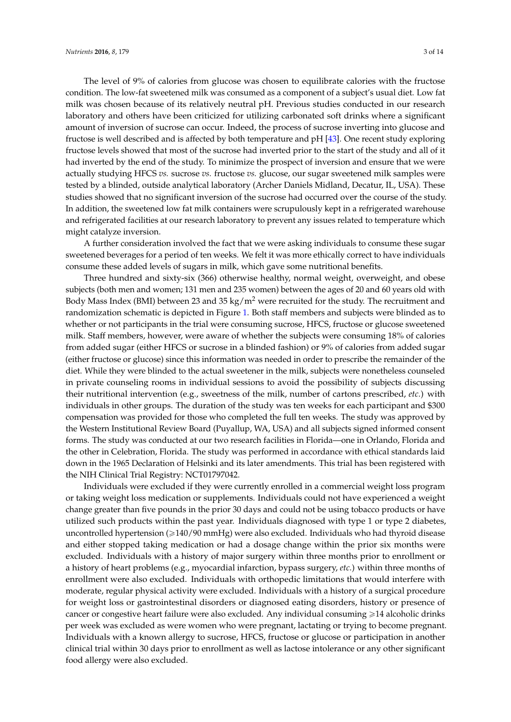The level of 9% of calories from glucose was chosen to equilibrate calories with the fructose condition. The low-fat sweetened milk was consumed as a component of a subject's usual diet. Low fat milk was chosen because of its relatively neutral pH. Previous studies conducted in our research laboratory and others have been criticized for utilizing carbonated soft drinks where a significant amount of inversion of sucrose can occur. Indeed, the process of sucrose inverting into glucose and fructose is well described and is affected by both temperature and pH [\[43\]](#page-12-3). One recent study exploring fructose levels showed that most of the sucrose had inverted prior to the start of the study and all of it had inverted by the end of the study. To minimize the prospect of inversion and ensure that we were actually studying HFCS *vs.* sucrose *vs.* fructose *vs.* glucose, our sugar sweetened milk samples were tested by a blinded, outside analytical laboratory (Archer Daniels Midland, Decatur, IL, USA). These studies showed that no significant inversion of the sucrose had occurred over the course of the study. In addition, the sweetened low fat milk containers were scrupulously kept in a refrigerated warehouse and refrigerated facilities at our research laboratory to prevent any issues related to temperature which might catalyze inversion.

A further consideration involved the fact that we were asking individuals to consume these sugar sweetened beverages for a period of ten weeks. We felt it was more ethically correct to have individuals consume these added levels of sugars in milk, which gave some nutritional benefits.

Three hundred and sixty-six (366) otherwise healthy, normal weight, overweight, and obese subjects (both men and women; 131 men and 235 women) between the ages of 20 and 60 years old with Body Mass Index (BMI) between 23 and 35 kg/ $m^2$  were recruited for the study. The recruitment and randomization schematic is depicted in Figure [1.](#page-3-0) Both staff members and subjects were blinded as to whether or not participants in the trial were consuming sucrose, HFCS, fructose or glucose sweetened milk. Staff members, however, were aware of whether the subjects were consuming 18% of calories from added sugar (either HFCS or sucrose in a blinded fashion) or 9% of calories from added sugar (either fructose or glucose) since this information was needed in order to prescribe the remainder of the diet. While they were blinded to the actual sweetener in the milk, subjects were nonetheless counseled in private counseling rooms in individual sessions to avoid the possibility of subjects discussing their nutritional intervention (e.g., sweetness of the milk, number of cartons prescribed, *etc.*) with individuals in other groups. The duration of the study was ten weeks for each participant and \$300 compensation was provided for those who completed the full ten weeks. The study was approved by the Western Institutional Review Board (Puyallup, WA, USA) and all subjects signed informed consent forms. The study was conducted at our two research facilities in Florida—one in Orlando, Florida and the other in Celebration, Florida. The study was performed in accordance with ethical standards laid down in the 1965 Declaration of Helsinki and its later amendments. This trial has been registered with the NIH Clinical Trial Registry: NCT01797042.

Individuals were excluded if they were currently enrolled in a commercial weight loss program or taking weight loss medication or supplements. Individuals could not have experienced a weight change greater than five pounds in the prior 30 days and could not be using tobacco products or have utilized such products within the past year. Individuals diagnosed with type 1 or type 2 diabetes, uncontrolled hypertension (ě140/90 mmHg) were also excluded. Individuals who had thyroid disease and either stopped taking medication or had a dosage change within the prior six months were excluded. Individuals with a history of major surgery within three months prior to enrollment or a history of heart problems (e.g., myocardial infarction, bypass surgery, *etc.*) within three months of enrollment were also excluded. Individuals with orthopedic limitations that would interfere with moderate, regular physical activity were excluded. Individuals with a history of a surgical procedure for weight loss or gastrointestinal disorders or diagnosed eating disorders, history or presence of cancer or congestive heart failure were also excluded. Any individual consuming  $\geq 14$  alcoholic drinks per week was excluded as were women who were pregnant, lactating or trying to become pregnant. Individuals with a known allergy to sucrose, HFCS, fructose or glucose or participation in another clinical trial within 30 days prior to enrollment as well as lactose intolerance or any other significant food allergy were also excluded.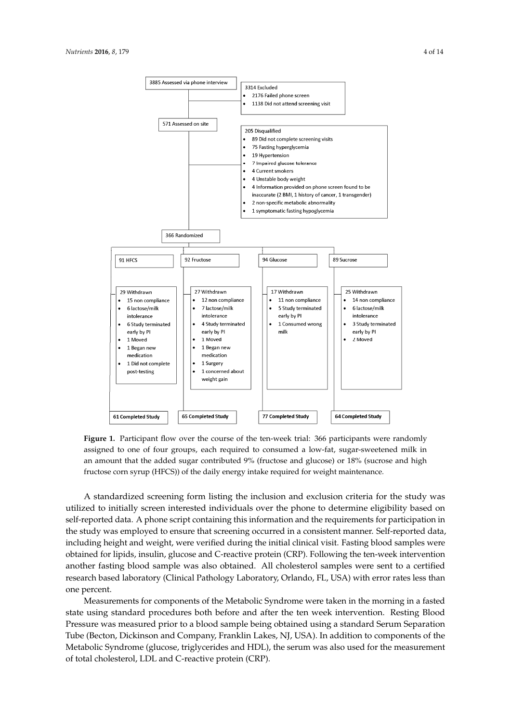<span id="page-3-0"></span>

**Figure 1.** Participant flow over the course of the ten‐week trial: 366 participants were randomly **Figure 1.** Participant flow over the course of the ten-week trial: 366 participants were randomly assigned to one of four groups, each required to consumed a lower sugarches milk in an analysis of  $\frac{1}{\sqrt{2}}$ assigned to one of four groups, each required to consumed a low-fat, sugar-sweetened milk in an amount that the added sugar contributed 9% (fructose and glucose) or  $18\%$  (sucrose and high fructose corn syrup (HFCS)) of the daily energy intake required for weight maintenance.

utilized to initially screen interested individuals over the phone to determine eligibility based on A standardized screening form listing the inclusion and exclusion criteria for the study was utilized to initially screen interested individuals over the phone to determine eligibility based on self-reported data. A phone script containing this information and the requirements for participation in the study was employed to ensure that screening occurred in a consistent manner. Self-reported data, including height and weight, were verified during the initial clinical visit. Fasting blood samples were obtained for lipids, insulin, glucose and C-reactive protein (CRP). Following the ten-week intervention  $\epsilon$  is the percent. The percent of percent. another fasting blood sample was also obtained. All cholesterol samples were sent to a certified research based laboratory (Clinical Pathology Laboratory, Orlando, FL, USA) with error rates less than Blood Pressure was measured prior to a blood sample being obtained using a standard Serum one percent.

Measurements for components of the Metabolic Syndrome were taken in the morning in a fasted state using standard procedures both before and after the ten week intervention. Resting Blood Pressure was measured prior to a blood sample being obtained using a standard Serum Separation Tube (Becton, Dickinson and Company, Franklin Lakes, NJ, USA). In addition to components of the Metabolic Syndrome (glucose, triglycerides and HDL), the serum was also used for the measurement of total cholesterol, LDL and C-reactive protein (CRP).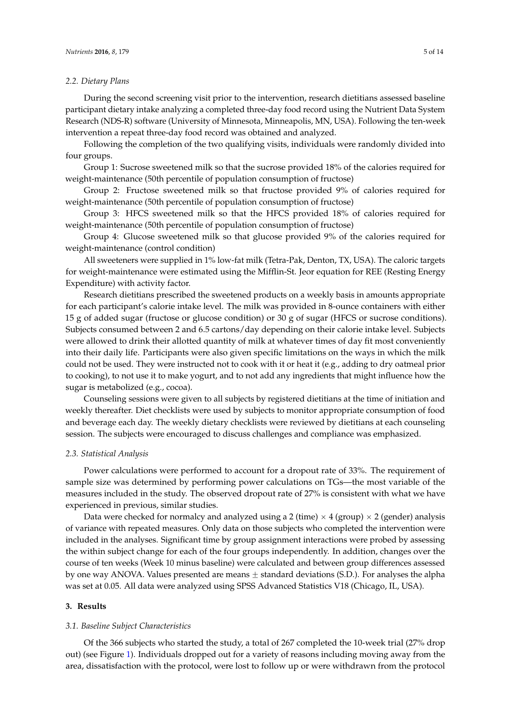#### *2.2. Dietary Plans*

During the second screening visit prior to the intervention, research dietitians assessed baseline participant dietary intake analyzing a completed three-day food record using the Nutrient Data System Research (NDS-R) software (University of Minnesota, Minneapolis, MN, USA). Following the ten-week intervention a repeat three-day food record was obtained and analyzed.

Following the completion of the two qualifying visits, individuals were randomly divided into four groups.

Group 1: Sucrose sweetened milk so that the sucrose provided 18% of the calories required for weight-maintenance (50th percentile of population consumption of fructose)

Group 2: Fructose sweetened milk so that fructose provided 9% of calories required for weight-maintenance (50th percentile of population consumption of fructose)

Group 3: HFCS sweetened milk so that the HFCS provided 18% of calories required for weight-maintenance (50th percentile of population consumption of fructose)

Group 4: Glucose sweetened milk so that glucose provided 9% of the calories required for weight-maintenance (control condition)

All sweeteners were supplied in 1% low-fat milk (Tetra-Pak, Denton, TX, USA). The caloric targets for weight-maintenance were estimated using the Mifflin-St. Jeor equation for REE (Resting Energy Expenditure) with activity factor.

Research dietitians prescribed the sweetened products on a weekly basis in amounts appropriate for each participant's calorie intake level. The milk was provided in 8-ounce containers with either 15 g of added sugar (fructose or glucose condition) or 30 g of sugar (HFCS or sucrose conditions). Subjects consumed between 2 and 6.5 cartons/day depending on their calorie intake level. Subjects were allowed to drink their allotted quantity of milk at whatever times of day fit most conveniently into their daily life. Participants were also given specific limitations on the ways in which the milk could not be used. They were instructed not to cook with it or heat it (e.g., adding to dry oatmeal prior to cooking), to not use it to make yogurt, and to not add any ingredients that might influence how the sugar is metabolized (e.g., cocoa).

Counseling sessions were given to all subjects by registered dietitians at the time of initiation and weekly thereafter. Diet checklists were used by subjects to monitor appropriate consumption of food and beverage each day. The weekly dietary checklists were reviewed by dietitians at each counseling session. The subjects were encouraged to discuss challenges and compliance was emphasized.

# *2.3. Statistical Analysis*

Power calculations were performed to account for a dropout rate of 33%. The requirement of sample size was determined by performing power calculations on TGs—the most variable of the measures included in the study. The observed dropout rate of 27% is consistent with what we have experienced in previous, similar studies.

Data were checked for normalcy and analyzed using a 2 (time)  $\times$  4 (group)  $\times$  2 (gender) analysis of variance with repeated measures. Only data on those subjects who completed the intervention were included in the analyses. Significant time by group assignment interactions were probed by assessing the within subject change for each of the four groups independently. In addition, changes over the course of ten weeks (Week 10 minus baseline) were calculated and between group differences assessed by one way ANOVA. Values presented are means  $\pm$  standard deviations (S.D.). For analyses the alpha was set at 0.05. All data were analyzed using SPSS Advanced Statistics V18 (Chicago, IL, USA).

# **3. Results**

#### *3.1. Baseline Subject Characteristics*

Of the 366 subjects who started the study, a total of 267 completed the 10-week trial (27% drop out) (see Figure [1\)](#page-3-0). Individuals dropped out for a variety of reasons including moving away from the area, dissatisfaction with the protocol, were lost to follow up or were withdrawn from the protocol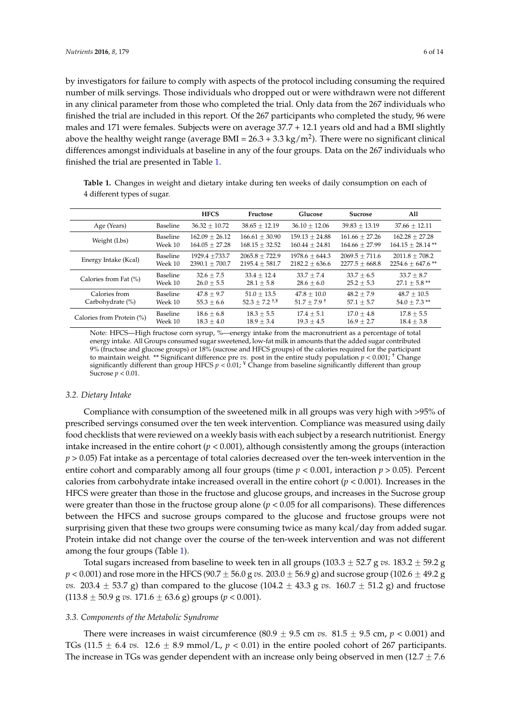by investigators for failure to comply with aspects of the protocol including consuming the required number of milk servings. Those individuals who dropped out or were withdrawn were not different in any clinical parameter from those who completed the trial. Only data from the 267 individuals who finished the trial are included in this report. Of the 267 participants who completed the study, 96 were males and 171 were females. Subjects were on average 37.7 + 12.1 years old and had a BMI slightly above the healthy weight range (average BMI =  $26.3 + 3.3$  kg/m<sup>2</sup>). There were no significant clinical differences amongst individuals at baseline in any of the four groups. Data on the 267 individuals who finished the trial are presented in Table [1.](#page-5-0)

<span id="page-5-0"></span>**Table 1.** Changes in weight and dietary intake during ten weeks of daily consumption on each of 4 different types of sugar.

|                           |          | <b>HFCS</b>      | Fructose                                    | Glucose                   | <b>Sucrose</b>     | All                 |
|---------------------------|----------|------------------|---------------------------------------------|---------------------------|--------------------|---------------------|
| Age (Years)               | Baseline | $36.32 + 10.72$  | $38.65 + 12.19$                             | $36.10 + 12.06$           | $39.83 + 13.19$    | $37.66 + 12.11$     |
| Weight (Lbs)              | Baseline | $162.09 + 26.12$ | $166.61 + 30.90$                            | $159.13 + 24.88$          | $161.66 + 27.26$   | $162.28 + 27.28$    |
|                           | Week 10  | $164.05 + 27.28$ | $168.15 + 32.52$                            | $160.44 + 24.81$          | $164.66 + 27.99$   | $164.15 + 28.14$ ** |
| Energy Intake (Kcal)      | Baseline | $1929.4 + 733.7$ | $2065.8 + 722.9$                            | $1978.6 + 644.3$          | $2069.5 + 711.6$   | $2011.8 + 708.2$    |
|                           | Week 10  | $2390.1 + 700.7$ | $2195.4 + 581.7$                            | $2182.2 \pm 636.6$        | $2277.5 \pm 668.8$ | $2254.6 + 647.6$ ** |
| Calories from Fat (%)     | Baseline | $32.6 + 7.5$     | $33.4 + 12.4$                               | $33.7 + 7.4$              | $33.7 + 6.5$       | $33.7 + 8.7$        |
|                           | Week 10  | $26.0 + 5.5$     | $28.1 + 5.8$                                | $28.6 + 6.0$              | $25.2 + 5.3$       | $27.1 + 5.8$ **     |
| Calories from             | Baseline | $47.8 + 9.7$     | $51.0 + 13.5$                               | $47.8 + 10.0$             | $48.2 + 7.9$       | $48.7 + 10.5$       |
| Carbohydrate (%)          | Week 10  | $55.3 \pm 6.6$   | $52.3 + 7.2$ <sup>+\\ine{\mathbf{1}}}</sup> | $51.7 + 7.9$ <sup>+</sup> | $57.1 + 5.7$       | $54.0 + 7.3$ **     |
| Calories from Protein (%) | Baseline | $18.6 + 6.8$     | $18.3 + 5.5$                                | $17.4 + 5.1$              | $17.0 + 4.8$       | $17.8 + 5.5$        |
|                           | Week 10  | $18.3 + 4.0$     | $18.9 + 3.4$                                | $19.3 + 4.5$              | $16.9 + 2.7$       | $18.4 + 3.8$        |

Note: HFCS—High fructose corn syrup, %—energy intake from the macronutrient as a percentage of total energy intake. All Groups consumed sugar sweetened, low-fat milk in amounts that the added sugar contributed 9% (fructose and glucose groups) or 18% (sucrose and HFCS groups) of the calories required for the participant to maintain weight. \*\* Significant difference pre *vs.* post in the entire study population *p* < 0.001; † Change significantly different than group HFCS *p* < 0.01; ¥ Change from baseline significantly different than group Sucrose *p* < 0.01.

# *3.2. Dietary Intake*

Compliance with consumption of the sweetened milk in all groups was very high with >95% of prescribed servings consumed over the ten week intervention. Compliance was measured using daily food checklists that were reviewed on a weekly basis with each subject by a research nutritionist. Energy intake increased in the entire cohort  $(p < 0.001)$ , although consistently among the groups (interaction *p* > 0.05) Fat intake as a percentage of total calories decreased over the ten-week intervention in the entire cohort and comparably among all four groups (time  $p < 0.001$ , interaction  $p > 0.05$ ). Percent calories from carbohydrate intake increased overall in the entire cohort (*p* < 0.001). Increases in the HFCS were greater than those in the fructose and glucose groups, and increases in the Sucrose group were greater than those in the fructose group alone  $(p < 0.05$  for all comparisons). These differences between the HFCS and sucrose groups compared to the glucose and fructose groups were not surprising given that these two groups were consuming twice as many kcal/day from added sugar. Protein intake did not change over the course of the ten-week intervention and was not different among the four groups (Table [1\)](#page-5-0).

Total sugars increased from baseline to week ten in all groups  $(103.3 \pm 52.7 \text{ g} \text{ vs. } 183.2 \pm 59.2 \text{ g})$  $p < 0.001$ ) and rose more in the HFCS (90.7  $\pm$  56.0 g *vs.* 203.0  $\pm$  56.9 g) and sucrose group (102.6  $\pm$  49.2 g *vs.* 203.4  $\pm$  53.7 g) than compared to the glucose (104.2  $\pm$  43.3 g *vs.* 160.7  $\pm$  51.2 g) and fructose  $(113.8 \pm 50.9 \text{ g} \text{ vs. } 171.6 \pm 63.6 \text{ g}) \text{ groups } (p < 0.001).$ 

#### *3.3. Components of the Metabolic Syndrome*

There were increases in waist circumference  $(80.9 \pm 9.5 \text{ cm } v_s$ .  $81.5 \pm 9.5 \text{ cm}$ ,  $p < 0.001$ ) and TGs (11.5  $\pm$  6.4 *vs.* 12.6  $\pm$  8.9 mmol/L,  $p < 0.01$ ) in the entire pooled cohort of 267 participants. The increase in TGs was gender dependent with an increase only being observed in men  $(12.7 \pm 7.6)$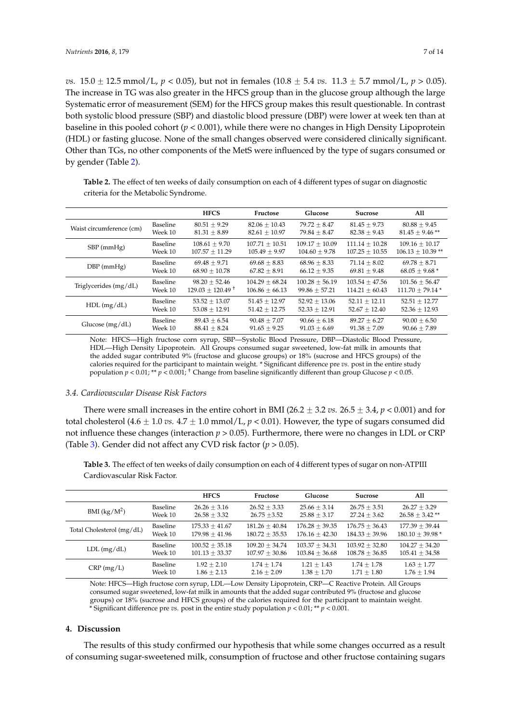*vs.*  $15.0 \pm 12.5$  mmol/L,  $p < 0.05$ ), but not in females  $(10.8 \pm 5.4$  *vs.*  $11.3 \pm 5.7$  mmol/L,  $p > 0.05$ ). The increase in TG was also greater in the HFCS group than in the glucose group although the large Systematic error of measurement (SEM) for the HFCS group makes this result questionable. In contrast both systolic blood pressure (SBP) and diastolic blood pressure (DBP) were lower at week ten than at baseline in this pooled cohort (*p* < 0.001), while there were no changes in High Density Lipoprotein (HDL) or fasting glucose. None of the small changes observed were considered clinically significant. Other than TGs, no other components of the MetS were influenced by the type of sugars consumed or by gender (Table [2\)](#page-6-0).

<span id="page-6-0"></span>**Table 2.** The effect of ten weeks of daily consumption on each of 4 different types of sugar on diagnostic criteria for the Metabolic Syndrome.

|                          |                 | <b>HFCS</b>                    | Fructose           | Glucose          | <b>Sucrose</b>    | All                 |
|--------------------------|-----------------|--------------------------------|--------------------|------------------|-------------------|---------------------|
| Waist circumference (cm) | Baseline        | $80.51 + 9.29$                 | $82.06 + 10.43$    | $79.72 + 8.47$   | $81.45 + 9.73$    | $80.88 + 9.45$      |
|                          | Week 10         | $81.31 + 8.89$                 | $82.61 + 10.97$    | $79.84 \pm 8.47$ | $82.38 + 9.43$    | $81.45 + 9.46$ **   |
| $SBP$ (mmHg)             | <b>Baseline</b> | $108.61 \pm 9.70$              | $107.71 \pm 10.51$ | $109.17 + 10.09$ | $111.14 + 10.28$  | $109.16 + 10.17$    |
|                          | Week 10         | $107.57 + 11.29$               | $105.49 + 9.97$    | $104.60 + 9.78$  | $107.25 + 10.55$  | $106.13 + 10.39$ ** |
| $DBP$ (mmHg)             | Baseline        | $69.48 + 9.71$                 | $69.68 + 8.83$     | $68.96 + 8.33$   | $71.14 \pm 8.02$  | $69.78 + 8.71$      |
|                          | Week 10         | $68.90 + 10.78$                | $67.82 + 8.91$     | $66.12 + 9.35$   | $69.81 + 9.48$    | $68.05 + 9.68*$     |
| Triglycerides (mg/dL)    | <b>Baseline</b> | $98.20 \pm 52.46$              | $104.29 + 68.24$   | $100.28 + 56.19$ | $103.54 + 47.56$  | $101.56 + 56.47$    |
|                          | Week 10         | $129.03 + 120.49$ <sup>+</sup> | $106.86 \pm 66.13$ | $99.86 + 57.21$  | $114.21 + 60.43$  | $111.70 + 79.14*$   |
| $HDL$ (mg/dL)            | Baseline        | $53.52 + 13.07$                | $51.45 + 12.97$    | $52.92 + 13.06$  | $52.11 \pm 12.11$ | $52.51 \pm 12.77$   |
|                          | Week 10         | $53.08 + 12.91$                | $51.42 + 12.75$    | $52.33 + 12.91$  | $52.67 + 12.40$   | $52.36 \pm 12.93$   |
| Glucose $(mg/dL)$        | Baseline        | $89.43 + 6.54$                 | $90.48 + 7.07$     | $90.66 + 6.18$   | $89.27 + 6.27$    | $90.00 + 6.50$      |
|                          | Week 10         | $88.41 \pm 8.24$               | $91.65 + 9.25$     | $91.03 + 6.69$   | $91.38 + 7.09$    | $90.66 \pm 7.89$    |

Note: HFCS—High fructose corn syrup, SBP—Systolic Blood Pressure, DBP—Diastolic Blood Pressure, HDL—High Density Lipoprotein. All Groups consumed sugar sweetened, low-fat milk in amounts that the added sugar contributed 9% (fructose and glucose groups) or 18% (sucrose and HFCS groups) of the calories required for the participant to maintain weight. \* Significant difference pre *vs.* post in the entire study population  $p < 0.01$ ; \*\*  $p < 0.001$ ; <sup>+</sup> Change from baseline significantly different than group Glucose  $p < 0.05$ .

# *3.4. Cardiovascular Disease Risk Factors*

There were small increases in the entire cohort in BMI (26.2  $\pm$  3.2 *vs.* 26.5  $\pm$  3.4, *p* < 0.001) and for total cholesterol (4.6  $\pm$  1.0 *vs.* 4.7  $\pm$  1.0 mmol/L,  $p < 0.01$ ). However, the type of sugars consumed did not influence these changes (interaction  $p > 0.05$ ). Furthermore, there were no changes in LDL or CRP (Table [3\)](#page-6-1). Gender did not affect any CVD risk factor (*p* > 0.05).

<span id="page-6-1"></span>**Table 3.** The effect of ten weeks of daily consumption on each of 4 different types of sugar on non-ATPIII Cardiovascular Risk Factor.

|                           |          | <b>HFCS</b>      | Fructose         | Glucose          | <b>Sucrose</b>   | All                  |
|---------------------------|----------|------------------|------------------|------------------|------------------|----------------------|
| BMI $(kg/M^2)$            | Baseline | $26.26 + 3.16$   | $26.52 + 3.33$   | $25.66 + 3.14$   | $26.75 + 3.51$   | $26.27 + 3.29$       |
|                           | Week 10  | $26.58 + 3.32$   | $26.75 + 3.52$   | $25.88 + 3.17$   | $27.24 + 3.62$   | $26.58 \pm 3.42$ **  |
| Total Cholesterol (mg/dL) | Baseline | $175.33 + 41.67$ | $181.26 + 40.84$ | $176.28 + 39.35$ | $176.75 + 36.43$ | $177.39 + 39.44$     |
|                           | Week 10  | $179.98 + 41.96$ | $180.72 + 35.53$ | $176.16 + 42.30$ | $184.33 + 39.96$ | $180.10 \pm 39.98$ * |
| $LDL$ (mg/dL)             | Baseline | $100.52 + 35.18$ | $109.20 + 34.74$ | $103.37 + 34.31$ | $103.92 + 32.80$ | $104.27 + 34.20$     |
|                           | Week 10  | $101.13 + 33.37$ | $107.97 + 30.86$ | $103.84 + 36.68$ | $108.78 + 36.85$ | $105.41 + 34.58$     |
| $CRP$ (mg/L)              | Baseline | $1.92 + 2.10$    | $1.74 + 1.74$    | $1.21 + 1.43$    | $1.74 + 1.78$    | $1.63 + 1.77$        |
|                           | Week 10  | $1.86 + 2.13$    | $2.16 + 2.09$    | $1.38 + 1.70$    | $1.71 + 1.80$    | $1.76 + 1.94$        |

Note: HFCS—High fructose corn syrup, LDL—Low Density Lipoprotein, CRP—C Reactive Protein. All Groups consumed sugar sweetened, low-fat milk in amounts that the added sugar contributed 9% (fructose and glucose groups) or 18% (sucrose and HFCS groups) of the calories required for the participant to maintain weight. \* Significant difference pre *vs.* post in the entire study population  $p < 0.01$ ; \*\*  $p < 0.001$ .

#### **4. Discussion**

The results of this study confirmed our hypothesis that while some changes occurred as a result of consuming sugar-sweetened milk, consumption of fructose and other fructose containing sugars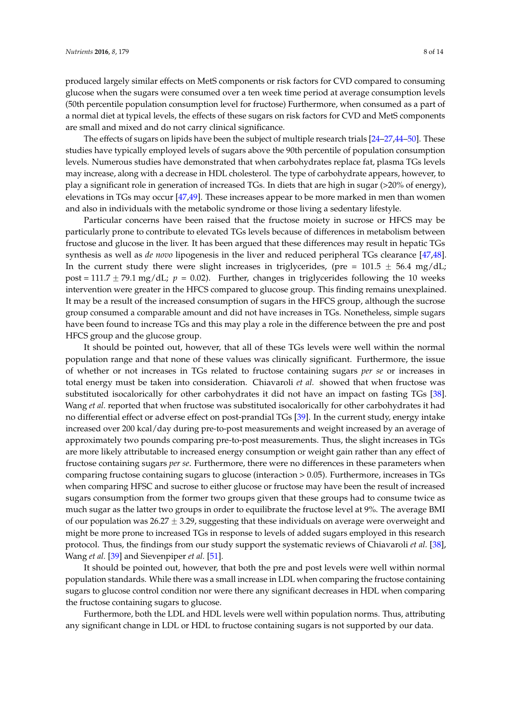produced largely similar effects on MetS components or risk factors for CVD compared to consuming glucose when the sugars were consumed over a ten week time period at average consumption levels (50th percentile population consumption level for fructose) Furthermore, when consumed as a part of a normal diet at typical levels, the effects of these sugars on risk factors for CVD and MetS components are small and mixed and do not carry clinical significance.

The effects of sugars on lipids have been the subject of multiple research trials [\[24–](#page-11-3)[27,](#page-11-4)[44](#page-12-4)[–50\]](#page-12-5). These studies have typically employed levels of sugars above the 90th percentile of population consumption levels. Numerous studies have demonstrated that when carbohydrates replace fat, plasma TGs levels may increase, along with a decrease in HDL cholesterol. The type of carbohydrate appears, however, to play a significant role in generation of increased TGs. In diets that are high in sugar (>20% of energy), elevations in TGs may occur [\[47](#page-12-6)[,49\]](#page-12-7). These increases appear to be more marked in men than women and also in individuals with the metabolic syndrome or those living a sedentary lifestyle.

Particular concerns have been raised that the fructose moiety in sucrose or HFCS may be particularly prone to contribute to elevated TGs levels because of differences in metabolism between fructose and glucose in the liver. It has been argued that these differences may result in hepatic TGs synthesis as well as *de novo* lipogenesis in the liver and reduced peripheral TGs clearance [\[47,](#page-12-6)[48\]](#page-12-8). In the current study there were slight increases in triglycerides, (pre =  $101.5 \pm 56.4$  mg/dL; post = 111.7  $\pm$  79.1 mg/dL;  $p = 0.02$ ). Further, changes in triglycerides following the 10 weeks intervention were greater in the HFCS compared to glucose group. This finding remains unexplained. It may be a result of the increased consumption of sugars in the HFCS group, although the sucrose group consumed a comparable amount and did not have increases in TGs. Nonetheless, simple sugars have been found to increase TGs and this may play a role in the difference between the pre and post HFCS group and the glucose group.

It should be pointed out, however, that all of these TGs levels were well within the normal population range and that none of these values was clinically significant. Furthermore, the issue of whether or not increases in TGs related to fructose containing sugars *per se* or increases in total energy must be taken into consideration. Chiavaroli *et al.* showed that when fructose was substituted isocalorically for other carbohydrates it did not have an impact on fasting TGs [\[38\]](#page-11-13). Wang *et al.* reported that when fructose was substituted isocalorically for other carbohydrates it had no differential effect or adverse effect on post-prandial TGs [\[39\]](#page-12-0). In the current study, energy intake increased over 200 kcal/day during pre-to-post measurements and weight increased by an average of approximately two pounds comparing pre-to-post measurements. Thus, the slight increases in TGs are more likely attributable to increased energy consumption or weight gain rather than any effect of fructose containing sugars *per se*. Furthermore, there were no differences in these parameters when comparing fructose containing sugars to glucose (interaction > 0.05). Furthermore, increases in TGs when comparing HFSC and sucrose to either glucose or fructose may have been the result of increased sugars consumption from the former two groups given that these groups had to consume twice as much sugar as the latter two groups in order to equilibrate the fructose level at 9%. The average BMI of our population was  $26.27 \pm 3.29$ , suggesting that these individuals on average were overweight and might be more prone to increased TGs in response to levels of added sugars employed in this research protocol. Thus, the findings from our study support the systematic reviews of Chiavaroli *et al.* [\[38\]](#page-11-13), Wang *et al.* [\[39\]](#page-12-0) and Sievenpiper *et al.* [\[51\]](#page-12-9).

It should be pointed out, however, that both the pre and post levels were well within normal population standards. While there was a small increase in LDL when comparing the fructose containing sugars to glucose control condition nor were there any significant decreases in HDL when comparing the fructose containing sugars to glucose.

Furthermore, both the LDL and HDL levels were well within population norms. Thus, attributing any significant change in LDL or HDL to fructose containing sugars is not supported by our data.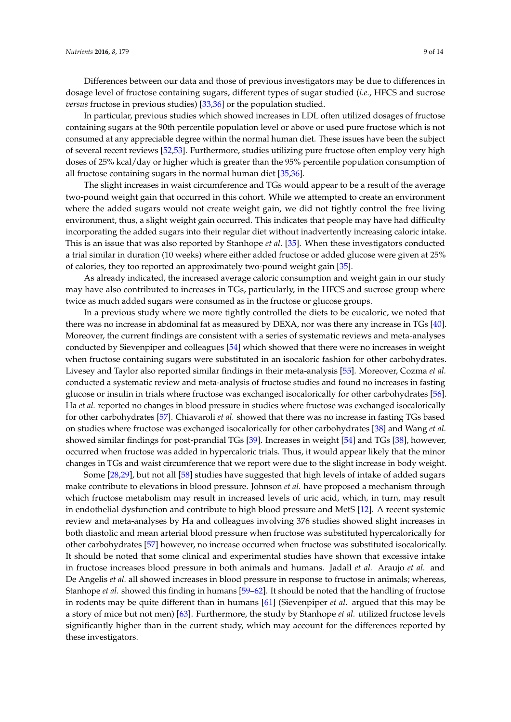Differences between our data and those of previous investigators may be due to differences in dosage level of fructose containing sugars, different types of sugar studied (*i.e.*, HFCS and sucrose *versus* fructose in previous studies) [\[33](#page-11-8)[,36\]](#page-11-11) or the population studied.

In particular, previous studies which showed increases in LDL often utilized dosages of fructose containing sugars at the 90th percentile population level or above or used pure fructose which is not consumed at any appreciable degree within the normal human diet. These issues have been the subject of several recent reviews [\[52](#page-12-10)[,53\]](#page-12-11). Furthermore, studies utilizing pure fructose often employ very high doses of 25% kcal/day or higher which is greater than the 95% percentile population consumption of all fructose containing sugars in the normal human diet [\[35](#page-11-10)[,36\]](#page-11-11).

The slight increases in waist circumference and TGs would appear to be a result of the average two-pound weight gain that occurred in this cohort. While we attempted to create an environment where the added sugars would not create weight gain, we did not tightly control the free living environment, thus, a slight weight gain occurred. This indicates that people may have had difficulty incorporating the added sugars into their regular diet without inadvertently increasing caloric intake. This is an issue that was also reported by Stanhope *et al.* [\[35\]](#page-11-10). When these investigators conducted a trial similar in duration (10 weeks) where either added fructose or added glucose were given at 25% of calories, they too reported an approximately two-pound weight gain [\[35\]](#page-11-10).

As already indicated, the increased average caloric consumption and weight gain in our study may have also contributed to increases in TGs, particularly, in the HFCS and sucrose group where twice as much added sugars were consumed as in the fructose or glucose groups.

In a previous study where we more tightly controlled the diets to be eucaloric, we noted that there was no increase in abdominal fat as measured by DEXA, nor was there any increase in TGs [\[40\]](#page-12-1). Moreover, the current findings are consistent with a series of systematic reviews and meta-analyses conducted by Sievenpiper and colleagues [\[54\]](#page-12-12) which showed that there were no increases in weight when fructose containing sugars were substituted in an isocaloric fashion for other carbohydrates. Livesey and Taylor also reported similar findings in their meta-analysis [\[55\]](#page-12-13). Moreover, Cozma *et al.* conducted a systematic review and meta-analysis of fructose studies and found no increases in fasting glucose or insulin in trials where fructose was exchanged isocalorically for other carbohydrates [\[56\]](#page-12-14). Ha *et al.* reported no changes in blood pressure in studies where fructose was exchanged isocalorically for other carbohydrates [\[57\]](#page-12-15). Chiavaroli *et al.* showed that there was no increase in fasting TGs based on studies where fructose was exchanged isocalorically for other carbohydrates [\[38\]](#page-11-13) and Wang *et al.* showed similar findings for post-prandial TGs [\[39\]](#page-12-0). Increases in weight [\[54\]](#page-12-12) and TGs [\[38\]](#page-11-13), however, occurred when fructose was added in hypercaloric trials. Thus, it would appear likely that the minor changes in TGs and waist circumference that we report were due to the slight increase in body weight.

Some [\[28](#page-11-5)[,29\]](#page-11-14), but not all [\[58\]](#page-12-16) studies have suggested that high levels of intake of added sugars make contribute to elevations in blood pressure. Johnson *et al.* have proposed a mechanism through which fructose metabolism may result in increased levels of uric acid, which, in turn, may result in endothelial dysfunction and contribute to high blood pressure and MetS [\[12\]](#page-10-11). A recent systemic review and meta-analyses by Ha and colleagues involving 376 studies showed slight increases in both diastolic and mean arterial blood pressure when fructose was substituted hypercalorically for other carbohydrates [\[57\]](#page-12-15) however, no increase occurred when fructose was substituted isocalorically. It should be noted that some clinical and experimental studies have shown that excessive intake in fructose increases blood pressure in both animals and humans. Jadall *et al.* Araujo *et al.* and De Angelis *et al.* all showed increases in blood pressure in response to fructose in animals; whereas, Stanhope *et al.* showed this finding in humans [\[59–](#page-13-0)[62\]](#page-13-1). It should be noted that the handling of fructose in rodents may be quite different than in humans [\[61\]](#page-13-2) (Sievenpiper *et al*. argued that this may be a story of mice but not men) [\[63\]](#page-13-3). Furthermore, the study by Stanhope *et al.* utilized fructose levels significantly higher than in the current study, which may account for the differences reported by these investigators.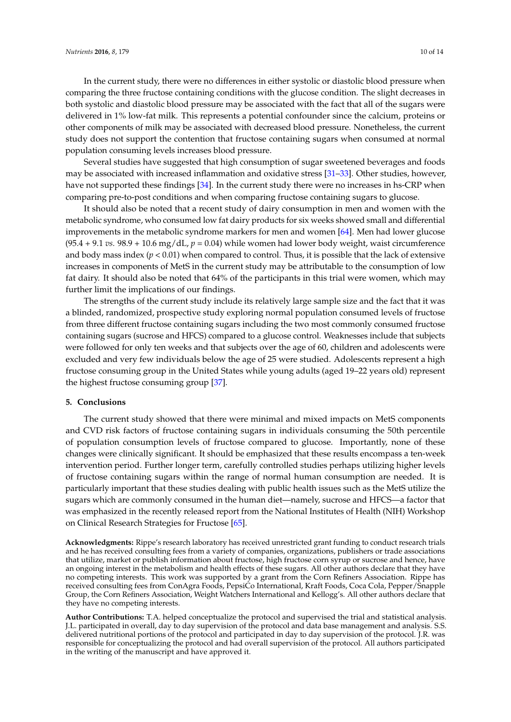In the current study, there were no differences in either systolic or diastolic blood pressure when comparing the three fructose containing conditions with the glucose condition. The slight decreases in both systolic and diastolic blood pressure may be associated with the fact that all of the sugars were delivered in 1% low-fat milk. This represents a potential confounder since the calcium, proteins or other components of milk may be associated with decreased blood pressure. Nonetheless, the current study does not support the contention that fructose containing sugars when consumed at normal population consuming levels increases blood pressure.

Several studies have suggested that high consumption of sugar sweetened beverages and foods may be associated with increased inflammation and oxidative stress [\[31](#page-11-7)[–33\]](#page-11-8). Other studies, however, have not supported these findings [\[34\]](#page-11-9). In the current study there were no increases in hs-CRP when comparing pre-to-post conditions and when comparing fructose containing sugars to glucose.

It should also be noted that a recent study of dairy consumption in men and women with the metabolic syndrome, who consumed low fat dairy products for six weeks showed small and differential improvements in the metabolic syndrome markers for men and women [\[64\]](#page-13-4). Men had lower glucose  $(95.4 + 9.1 \text{ vs. } 98.9 + 10.6 \text{ mg/dL}, p = 0.04)$  while women had lower body weight, waist circumference and body mass index  $(p < 0.01)$  when compared to control. Thus, it is possible that the lack of extensive increases in components of MetS in the current study may be attributable to the consumption of low fat dairy. It should also be noted that 64% of the participants in this trial were women, which may further limit the implications of our findings.

The strengths of the current study include its relatively large sample size and the fact that it was a blinded, randomized, prospective study exploring normal population consumed levels of fructose from three different fructose containing sugars including the two most commonly consumed fructose containing sugars (sucrose and HFCS) compared to a glucose control. Weaknesses include that subjects were followed for only ten weeks and that subjects over the age of 60, children and adolescents were excluded and very few individuals below the age of 25 were studied. Adolescents represent a high fructose consuming group in the United States while young adults (aged 19–22 years old) represent the highest fructose consuming group [\[37\]](#page-11-12).

# **5. Conclusions**

The current study showed that there were minimal and mixed impacts on MetS components and CVD risk factors of fructose containing sugars in individuals consuming the 50th percentile of population consumption levels of fructose compared to glucose. Importantly, none of these changes were clinically significant. It should be emphasized that these results encompass a ten-week intervention period. Further longer term, carefully controlled studies perhaps utilizing higher levels of fructose containing sugars within the range of normal human consumption are needed. It is particularly important that these studies dealing with public health issues such as the MetS utilize the sugars which are commonly consumed in the human diet—namely, sucrose and HFCS—a factor that was emphasized in the recently released report from the National Institutes of Health (NIH) Workshop on Clinical Research Strategies for Fructose [\[65\]](#page-13-5).

**Acknowledgments:** Rippe's research laboratory has received unrestricted grant funding to conduct research trials and he has received consulting fees from a variety of companies, organizations, publishers or trade associations that utilize, market or publish information about fructose, high fructose corn syrup or sucrose and hence, have an ongoing interest in the metabolism and health effects of these sugars. All other authors declare that they have no competing interests. This work was supported by a grant from the Corn Refiners Association. Rippe has received consulting fees from ConAgra Foods, PepsiCo International, Kraft Foods, Coca Cola, Pepper/Snapple Group, the Corn Refiners Association, Weight Watchers International and Kellogg's. All other authors declare that they have no competing interests.

**Author Contributions:** T.A. helped conceptualize the protocol and supervised the trial and statistical analysis. J.L. participated in overall, day to day supervision of the protocol and data base management and analysis. S.S. delivered nutritional portions of the protocol and participated in day to day supervision of the protocol. J.R. was responsible for conceptualizing the protocol and had overall supervision of the protocol. All authors participated in the writing of the manuscript and have approved it.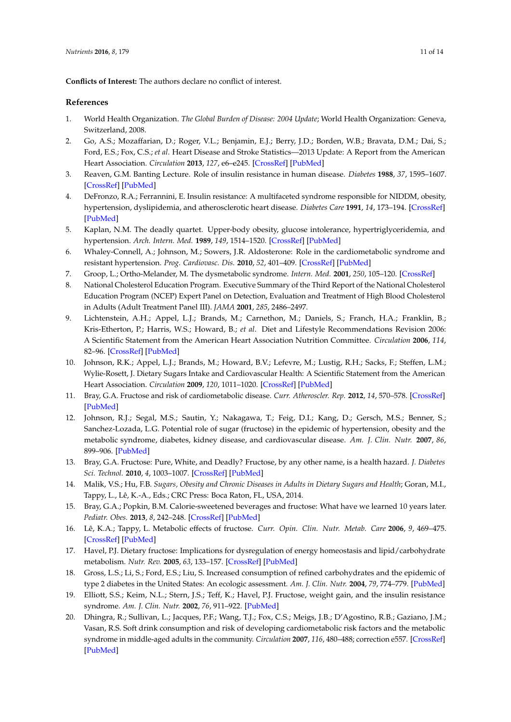**Conflicts of Interest:** The authors declare no conflict of interest.

# **References**

- <span id="page-10-0"></span>1. World Health Organization. *The Global Burden of Disease: 2004 Update*; World Health Organization: Geneva, Switzerland, 2008.
- <span id="page-10-1"></span>2. Go, A.S.; Mozaffarian, D.; Roger, V.L.; Benjamin, E.J.; Berry, J.D.; Borden, W.B.; Bravata, D.M.; Dai, S.; Ford, E.S.; Fox, C.S.; *et al*. Heart Disease and Stroke Statistics—2013 Update: A Report from the American Heart Association. *Circulation* **2013**, *127*, e6–e245. [\[CrossRef\]](http://dx.doi.org/10.1161/CIR.0b013e31828124ad) [\[PubMed\]](http://www.ncbi.nlm.nih.gov/pubmed/23239837)
- <span id="page-10-2"></span>3. Reaven, G.M. Banting Lecture. Role of insulin resistance in human disease. *Diabetes* **1988**, *37*, 1595–1607. [\[CrossRef\]](http://dx.doi.org/10.2337/diab.37.12.1595) [\[PubMed\]](http://www.ncbi.nlm.nih.gov/pubmed/3056758)
- 4. DeFronzo, R.A.; Ferrannini, E. Insulin resistance: A multifaceted syndrome responsible for NIDDM, obesity, hypertension, dyslipidemia, and atherosclerotic heart disease. *Diabetes Care* **1991**, *14*, 173–194. [\[CrossRef\]](http://dx.doi.org/10.2337/diacare.14.3.173) [\[PubMed\]](http://www.ncbi.nlm.nih.gov/pubmed/2044434)
- 5. Kaplan, N.M. The deadly quartet. Upper-body obesity, glucose intolerance, hypertriglyceridemia, and hypertension. *Arch. Intern. Med.* **1989**, *149*, 1514–1520. [\[CrossRef\]](http://dx.doi.org/10.1001/archinte.1989.00390070054005) [\[PubMed\]](http://www.ncbi.nlm.nih.gov/pubmed/2662932)
- 6. Whaley-Connell, A.; Johnson, M.; Sowers, J.R. Aldosterone: Role in the cardiometabolic syndrome and resistant hypertension. *Prog. Cardiovasc. Dis.* **2010**, *52*, 401–409. [\[CrossRef\]](http://dx.doi.org/10.1016/j.pcad.2009.12.004) [\[PubMed\]](http://www.ncbi.nlm.nih.gov/pubmed/20226958)
- 7. Groop, L.; Ortho-Melander, M. The dysmetabolic syndrome. *Intern. Med.* **2001**, *250*, 105–120. [\[CrossRef\]](http://dx.doi.org/10.1046/j.1365-2796.2001.00864.x)
- <span id="page-10-3"></span>8. National Cholesterol Education Program. Executive Summary of the Third Report of the National Cholesterol Education Program (NCEP) Expert Panel on Detection, Evaluation and Treatment of High Blood Cholesterol in Adults (Adult Treatment Panel III). *JAMA* **2001**, *285*, 2486–2497.
- <span id="page-10-4"></span>9. Lichtenstein, A.H.; Appel, L.J.; Brands, M.; Carnethon, M.; Daniels, S.; Franch, H.A.; Franklin, B.; Kris-Etherton, P.; Harris, W.S.; Howard, B.; *et al*. Diet and Lifestyle Recommendations Revision 2006: A Scientific Statement from the American Heart Association Nutrition Committee. *Circulation* **2006**, *114*, 82–96. [\[CrossRef\]](http://dx.doi.org/10.1161/CIRCULATIONAHA.106.176158) [\[PubMed\]](http://www.ncbi.nlm.nih.gov/pubmed/16785338)
- <span id="page-10-5"></span>10. Johnson, R.K.; Appel, L.J.; Brands, M.; Howard, B.V.; Lefevre, M.; Lustig, R.H.; Sacks, F.; Steffen, L.M.; Wylie-Rosett, J. Dietary Sugars Intake and Cardiovascular Health: A Scientific Statement from the American Heart Association. *Circulation* **2009**, *120*, 1011–1020. [\[CrossRef\]](http://dx.doi.org/10.1161/CIRCULATIONAHA.109.192627) [\[PubMed\]](http://www.ncbi.nlm.nih.gov/pubmed/19704096)
- <span id="page-10-7"></span>11. Bray, G.A. Fructose and risk of cardiometabolic disease. *Curr. Atheroscler. Rep.* **2012**, *14*, 570–578. [\[CrossRef\]](http://dx.doi.org/10.1007/s11883-012-0276-6) [\[PubMed\]](http://www.ncbi.nlm.nih.gov/pubmed/22949106)
- <span id="page-10-11"></span>12. Johnson, R.J.; Segal, M.S.; Sautin, Y.; Nakagawa, T.; Feig, D.I.; Kang, D.; Gersch, M.S.; Benner, S.; Sanchez-Lozada, L.G. Potential role of sugar (fructose) in the epidemic of hypertension, obesity and the metabolic syndrome, diabetes, kidney disease, and cardiovascular disease. *Am. J. Clin. Nutr.* **2007**, *86*, 899–906. [\[PubMed\]](http://www.ncbi.nlm.nih.gov/pubmed/17921363)
- <span id="page-10-6"></span>13. Bray, G.A. Fructose: Pure, White, and Deadly? Fructose, by any other name, is a health hazard. *J. Diabetes Sci. Technol.* **2010**, *4*, 1003–1007. [\[CrossRef\]](http://dx.doi.org/10.1177/193229681000400432) [\[PubMed\]](http://www.ncbi.nlm.nih.gov/pubmed/20663467)
- <span id="page-10-8"></span>14. Malik, V.S.; Hu, F.B. *Sugars, Obesity and Chronic Diseases in Adults in Dietary Sugars and Health*; Goran, M.I., Tappy, L., Lê, K.-A., Eds.; CRC Press: Boca Raton, FL, USA, 2014.
- <span id="page-10-9"></span>15. Bray, G.A.; Popkin, B.M. Calorie-sweetened beverages and fructose: What have we learned 10 years later. *Pediatr. Obes.* **2013**, *8*, 242–248. [\[CrossRef\]](http://dx.doi.org/10.1111/j.2047-6310.2013.00171.x) [\[PubMed\]](http://www.ncbi.nlm.nih.gov/pubmed/23625798)
- <span id="page-10-10"></span>16. Lê, K.A.; Tappy, L. Metabolic effects of fructose. *Curr. Opin. Clin. Nutr. Metab. Care* **2006**, *9*, 469–475. [\[CrossRef\]](http://dx.doi.org/10.1097/01.mco.0000232910.61612.4d) [\[PubMed\]](http://www.ncbi.nlm.nih.gov/pubmed/16778579)
- 17. Havel, P.J. Dietary fructose: Implications for dysregulation of energy homeostasis and lipid/carbohydrate metabolism. *Nutr. Rev.* **2005**, *63*, 133–157. [\[CrossRef\]](http://dx.doi.org/10.1111/j.1753-4887.2005.tb00132.x) [\[PubMed\]](http://www.ncbi.nlm.nih.gov/pubmed/15971409)
- 18. Gross, L.S.; Li, S.; Ford, E.S.; Liu, S. Increased consumption of refined carbohydrates and the epidemic of type 2 diabetes in the United States: An ecologic assessment. *Am. J. Clin. Nutr.* **2004**, *79*, 774–779. [\[PubMed\]](http://www.ncbi.nlm.nih.gov/pubmed/15113714)
- 19. Elliott, S.S.; Keim, N.L.; Stern, J.S.; Teff, K.; Havel, P.J. Fructose, weight gain, and the insulin resistance syndrome. *Am. J. Clin. Nutr.* **2002**, *76*, 911–922. [\[PubMed\]](http://www.ncbi.nlm.nih.gov/pubmed/12399260)
- 20. Dhingra, R.; Sullivan, L.; Jacques, P.F.; Wang, T.J.; Fox, C.S.; Meigs, J.B.; D'Agostino, R.B.; Gaziano, J.M.; Vasan, R.S. Soft drink consumption and risk of developing cardiometabolic risk factors and the metabolic syndrome in middle-aged adults in the community. *Circulation* **2007**, *116*, 480–488; correction e557. [\[CrossRef\]](http://dx.doi.org/10.1161/CIRCULATIONAHA.107.689935) [\[PubMed\]](http://www.ncbi.nlm.nih.gov/pubmed/17646581)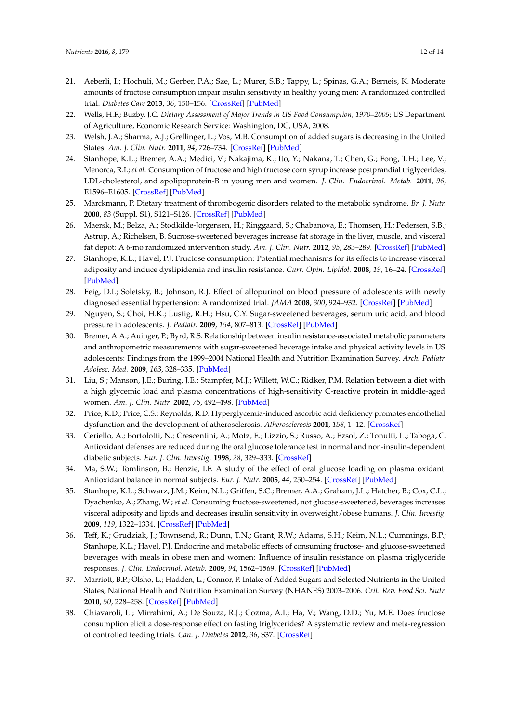- <span id="page-11-0"></span>21. Aeberli, I.; Hochuli, M.; Gerber, P.A.; Sze, L.; Murer, S.B.; Tappy, L.; Spinas, G.A.; Berneis, K. Moderate amounts of fructose consumption impair insulin sensitivity in healthy young men: A randomized controlled trial. *Diabetes Care* **2013**, *36*, 150–156. [\[CrossRef\]](http://dx.doi.org/10.2337/dc12-0540) [\[PubMed\]](http://www.ncbi.nlm.nih.gov/pubmed/22933433)
- <span id="page-11-1"></span>22. Wells, H.F.; Buzby, J.C. *Dietary Assessment of Major Trends in US Food Consumption, 1970–2005*; US Department of Agriculture, Economic Research Service: Washington, DC, USA, 2008.
- <span id="page-11-2"></span>23. Welsh, J.A.; Sharma, A.J.; Grellinger, L.; Vos, M.B. Consumption of added sugars is decreasing in the United States. *Am. J. Clin. Nutr.* **2011**, *94*, 726–734. [\[CrossRef\]](http://dx.doi.org/10.3945/ajcn.111.018366) [\[PubMed\]](http://www.ncbi.nlm.nih.gov/pubmed/21753067)
- <span id="page-11-3"></span>24. Stanhope, K.L.; Bremer, A.A.; Medici, V.; Nakajima, K.; Ito, Y.; Nakana, T.; Chen, G.; Fong, T.H.; Lee, V.; Menorca, R.I.; *et al*. Consumption of fructose and high fructose corn syrup increase postprandial triglycerides, LDL-cholesterol, and apolipoprotein-B in young men and women. *J. Clin. Endocrinol. Metab.* **2011**, *96*, E1596–E1605. [\[CrossRef\]](http://dx.doi.org/10.1210/jc.2011-1251) [\[PubMed\]](http://www.ncbi.nlm.nih.gov/pubmed/21849529)
- 25. Marckmann, P. Dietary treatment of thrombogenic disorders related to the metabolic syndrome. *Br. J. Nutr.* **2000**, *83* (Suppl. S1), S121–S126. [\[CrossRef\]](http://dx.doi.org/10.1017/S0007114500001057) [\[PubMed\]](http://www.ncbi.nlm.nih.gov/pubmed/10889802)
- 26. Maersk, M.; Belza, A.; Stodkilde-Jorgensen, H.; Ringgaard, S.; Chabanova, E.; Thomsen, H.; Pedersen, S.B.; Astrup, A.; Richelsen, B. Sucrose-sweetened beverages increase fat storage in the liver, muscle, and visceral fat depot: A 6-mo randomized intervention study. *Am. J. Clin. Nutr.* **2012**, *95*, 283–289. [\[CrossRef\]](http://dx.doi.org/10.3945/ajcn.111.022533) [\[PubMed\]](http://www.ncbi.nlm.nih.gov/pubmed/22205311)
- <span id="page-11-4"></span>27. Stanhope, K.L.; Havel, P.J. Fructose consumption: Potential mechanisms for its effects to increase visceral adiposity and induce dyslipidemia and insulin resistance. *Curr. Opin. Lipidol.* **2008**, *19*, 16–24. [\[CrossRef\]](http://dx.doi.org/10.1097/MOL.0b013e3282f2b24a) [\[PubMed\]](http://www.ncbi.nlm.nih.gov/pubmed/18196982)
- <span id="page-11-5"></span>28. Feig, D.I.; Soletsky, B.; Johnson, R.J. Effect of allopurinol on blood pressure of adolescents with newly diagnosed essential hypertension: A randomized trial. *JAMA* **2008**, *300*, 924–932. [\[CrossRef\]](http://dx.doi.org/10.1001/jama.300.8.924) [\[PubMed\]](http://www.ncbi.nlm.nih.gov/pubmed/18728266)
- <span id="page-11-14"></span>29. Nguyen, S.; Choi, H.K.; Lustig, R.H.; Hsu, C.Y. Sugar-sweetened beverages, serum uric acid, and blood pressure in adolescents. *J. Pediatr.* **2009**, *154*, 807–813. [\[CrossRef\]](http://dx.doi.org/10.1016/j.jpeds.2009.01.015) [\[PubMed\]](http://www.ncbi.nlm.nih.gov/pubmed/19375714)
- <span id="page-11-6"></span>30. Bremer, A.A.; Auinger, P.; Byrd, R.S. Relationship between insulin resistance-associated metabolic parameters and anthropometric measurements with sugar-sweetened beverage intake and physical activity levels in US adolescents: Findings from the 1999–2004 National Health and Nutrition Examination Survey. *Arch. Pediatr. Adolesc. Med.* **2009**, *163*, 328–335. [\[PubMed\]](http://www.ncbi.nlm.nih.gov/pubmed/19349561)
- <span id="page-11-7"></span>31. Liu, S.; Manson, J.E.; Buring, J.E.; Stampfer, M.J.; Willett, W.C.; Ridker, P.M. Relation between a diet with a high glycemic load and plasma concentrations of high-sensitivity C-reactive protein in middle-aged women. *Am. J. Clin. Nutr.* **2002**, *75*, 492–498. [\[PubMed\]](http://www.ncbi.nlm.nih.gov/pubmed/11864854)
- 32. Price, K.D.; Price, C.S.; Reynolds, R.D. Hyperglycemia-induced ascorbic acid deficiency promotes endothelial dysfunction and the development of atherosclerosis. *Atherosclerosis* **2001**, *158*, 1–12. [\[CrossRef\]](http://dx.doi.org/10.1016/S0021-9150(01)00569-X)
- <span id="page-11-8"></span>33. Ceriello, A.; Bortolotti, N.; Crescentini, A.; Motz, E.; Lizzio, S.; Russo, A.; Ezsol, Z.; Tonutti, L.; Taboga, C. Antioxidant defenses are reduced during the oral glucose tolerance test in normal and non-insulin-dependent diabetic subjects. *Eur. J. Clin. Investig.* **1998**, *28*, 329–333. [\[CrossRef\]](http://dx.doi.org/10.1046/j.1365-2362.1998.00295.x)
- <span id="page-11-9"></span>34. Ma, S.W.; Tomlinson, B.; Benzie, I.F. A study of the effect of oral glucose loading on plasma oxidant: Antioxidant balance in normal subjects. *Eur. J. Nutr.* **2005**, *44*, 250–254. [\[CrossRef\]](http://dx.doi.org/10.1007/s00394-004-0518-7) [\[PubMed\]](http://www.ncbi.nlm.nih.gov/pubmed/15309420)
- <span id="page-11-10"></span>35. Stanhope, K.L.; Schwarz, J.M.; Keim, N.L.; Griffen, S.C.; Bremer, A.A.; Graham, J.L.; Hatcher, B.; Cox, C.L.; Dyachenko, A.; Zhang, W.; *et al*. Consuming fructose-sweetened, not glucose-sweetened, beverages increases visceral adiposity and lipids and decreases insulin sensitivity in overweight/obese humans. *J. Clin. Investig.* **2009**, *119*, 1322–1334. [\[CrossRef\]](http://dx.doi.org/10.1172/JCI37385) [\[PubMed\]](http://www.ncbi.nlm.nih.gov/pubmed/19381015)
- <span id="page-11-11"></span>36. Teff, K.; Grudziak, J.; Townsend, R.; Dunn, T.N.; Grant, R.W.; Adams, S.H.; Keim, N.L.; Cummings, B.P.; Stanhope, K.L.; Havel, P.J. Endocrine and metabolic effects of consuming fructose- and glucose-sweetened beverages with meals in obese men and women: Influence of insulin resistance on plasma triglyceride responses. *J. Clin. Endocrinol. Metab.* **2009**, *94*, 1562–1569. [\[CrossRef\]](http://dx.doi.org/10.1210/jc.2008-2192) [\[PubMed\]](http://www.ncbi.nlm.nih.gov/pubmed/19208729)
- <span id="page-11-12"></span>37. Marriott, B.P.; Olsho, L.; Hadden, L.; Connor, P. Intake of Added Sugars and Selected Nutrients in the United States, National Health and Nutrition Examination Survey (NHANES) 2003–2006. *Crit. Rev. Food Sci. Nutr.* **2010**, *50*, 228–258. [\[CrossRef\]](http://dx.doi.org/10.1080/10408391003626223) [\[PubMed\]](http://www.ncbi.nlm.nih.gov/pubmed/20301013)
- <span id="page-11-13"></span>38. Chiavaroli, L.; Mirrahimi, A.; De Souza, R.J.; Cozma, A.I.; Ha, V.; Wang, D.D.; Yu, M.E. Does fructose consumption elicit a dose-response effect on fasting triglycerides? A systematic review and meta-regression of controlled feeding trials. *Can. J. Diabetes* **2012**, *36*, S37. [\[CrossRef\]](http://dx.doi.org/10.1016/j.jcjd.2012.07.330)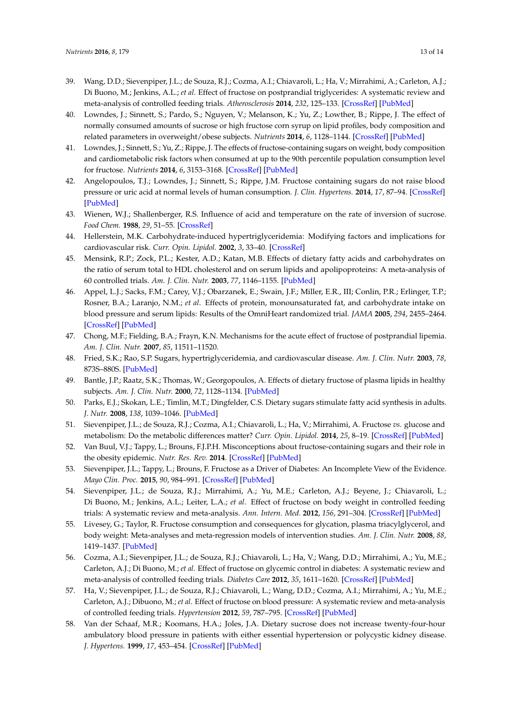- <span id="page-12-0"></span>39. Wang, D.D.; Sievenpiper, J.L.; de Souza, R.J.; Cozma, A.I.; Chiavaroli, L.; Ha, V.; Mirrahimi, A.; Carleton, A.J.; Di Buono, M.; Jenkins, A.L.; *et al*. Effect of fructose on postprandial triglycerides: A systematic review and meta-analysis of controlled feeding trials. *Atherosclerosis* **2014**, *232*, 125–133. [\[CrossRef\]](http://dx.doi.org/10.1016/j.atherosclerosis.2013.10.019) [\[PubMed\]](http://www.ncbi.nlm.nih.gov/pubmed/24401226)
- <span id="page-12-1"></span>40. Lowndes, J.; Sinnett, S.; Pardo, S.; Nguyen, V.; Melanson, K.; Yu, Z.; Lowther, B.; Rippe, J. The effect of normally consumed amounts of sucrose or high fructose corn syrup on lipid profiles, body composition and related parameters in overweight/obese subjects. *Nutrients* **2014**, *6*, 1128–1144. [\[CrossRef\]](http://dx.doi.org/10.3390/nu6031128) [\[PubMed\]](http://www.ncbi.nlm.nih.gov/pubmed/24642950)
- 41. Lowndes, J.; Sinnett, S.; Yu, Z.; Rippe, J. The effects of fructose-containing sugars on weight, body composition and cardiometabolic risk factors when consumed at up to the 90th percentile population consumption level for fructose. *Nutrients* **2014**, *6*, 3153–3168. [\[CrossRef\]](http://dx.doi.org/10.3390/nu6083153) [\[PubMed\]](http://www.ncbi.nlm.nih.gov/pubmed/25111121)
- <span id="page-12-2"></span>42. Angelopoulos, T.J.; Lowndes, J.; Sinnett, S.; Rippe, J.M. Fructose containing sugars do not raise blood pressure or uric acid at normal levels of human consumption. *J. Clin. Hypertens.* **2014**, *17*, 87–94. [\[CrossRef\]](http://dx.doi.org/10.1111/jch.12457) [\[PubMed\]](http://www.ncbi.nlm.nih.gov/pubmed/25496265)
- <span id="page-12-3"></span>43. Wienen, W.J.; Shallenberger, R.S. Influence of acid and temperature on the rate of inversion of sucrose. *Food Chem.* **1988**, *29*, 51–55. [\[CrossRef\]](http://dx.doi.org/10.1016/0308-8146(88)90075-1)
- <span id="page-12-4"></span>44. Hellerstein, M.K. Carbohydrate-induced hypertriglyceridemia: Modifying factors and implications for cardiovascular risk. *Curr. Opin. Lipidol.* **2002**, *3*, 33–40. [\[CrossRef\]](http://dx.doi.org/10.1097/00041433-200202000-00006)
- 45. Mensink, R.P.; Zock, P.L.; Kester, A.D.; Katan, M.B. Effects of dietary fatty acids and carbohydrates on the ratio of serum total to HDL cholesterol and on serum lipids and apolipoproteins: A meta-analysis of 60 controlled trials. *Am. J. Clin. Nutr.* **2003**, *77*, 1146–1155. [\[PubMed\]](http://www.ncbi.nlm.nih.gov/pubmed/12716665)
- 46. Appel, L.J.; Sacks, F.M.; Carey, V.J.; Obarzanek, E.; Swain, J.F.; Miller, E.R., III; Conlin, P.R.; Erlinger, T.P.; Rosner, B.A.; Laranjo, N.M.; *et al*. Effects of protein, monounsaturated fat, and carbohydrate intake on blood pressure and serum lipids: Results of the OmniHeart randomized trial. *JAMA* **2005**, *294*, 2455–2464. [\[CrossRef\]](http://dx.doi.org/10.1001/jama.294.19.2455) [\[PubMed\]](http://www.ncbi.nlm.nih.gov/pubmed/16287956)
- <span id="page-12-6"></span>47. Chong, M.F.; Fielding, B.A.; Frayn, K.N. Mechanisms for the acute effect of fructose of postprandial lipemia. *Am. J. Clin. Nutr.* **2007**, *85*, 11511–11520.
- <span id="page-12-8"></span>48. Fried, S.K.; Rao, S.P. Sugars, hypertriglyceridemia, and cardiovascular disease. *Am. J. Clin. Nutr.* **2003**, *78*, 873S–880S. [\[PubMed\]](http://www.ncbi.nlm.nih.gov/pubmed/14522752)
- <span id="page-12-7"></span>49. Bantle, J.P.; Raatz, S.K.; Thomas, W.; Georgopoulos, A. Effects of dietary fructose of plasma lipids in healthy subjects. *Am. J. Clin. Nutr.* **2000**, *72*, 1128–1134. [\[PubMed\]](http://www.ncbi.nlm.nih.gov/pubmed/11063439)
- <span id="page-12-5"></span>50. Parks, E.J.; Skokan, L.E.; Timlin, M.T.; Dingfelder, C.S. Dietary sugars stimulate fatty acid synthesis in adults. *J. Nutr.* **2008**, *138*, 1039–1046. [\[PubMed\]](http://www.ncbi.nlm.nih.gov/pubmed/18492831)
- <span id="page-12-9"></span>51. Sievenpiper, J.L.; de Souza, R.J.; Cozma, A.I.; Chiavaroli, L.; Ha, V.; Mirrahimi, A. Fructose *vs.* glucose and metabolism: Do the metabolic differences matter? *Curr. Opin. Lipidol.* **2014**, *25*, 8–19. [\[CrossRef\]](http://dx.doi.org/10.1097/MOL.0000000000000042) [\[PubMed\]](http://www.ncbi.nlm.nih.gov/pubmed/24370846)
- <span id="page-12-10"></span>52. Van Buul, V.J.; Tappy, L.; Brouns, F.J.P.H. Misconceptions about fructose-containing sugars and their role in the obesity epidemic. *Nutr. Res. Rev.* **2014**. [\[CrossRef\]](http://dx.doi.org/10.1017/S0954422414000067) [\[PubMed\]](http://www.ncbi.nlm.nih.gov/pubmed/24666553)
- <span id="page-12-11"></span>53. Sievenpiper, J.L.; Tappy, L.; Brouns, F. Fructose as a Driver of Diabetes: An Incomplete View of the Evidence. *Mayo Clin. Proc.* **2015**, *90*, 984–991. [\[CrossRef\]](http://dx.doi.org/10.1016/j.mayocp.2015.04.017) [\[PubMed\]](http://www.ncbi.nlm.nih.gov/pubmed/26141336)
- <span id="page-12-12"></span>54. Sievenpiper, J.L.; de Souza, R.J.; Mirrahimi, A.; Yu, M.E.; Carleton, A.J.; Beyene, J.; Chiavaroli, L.; Di Buono, M.; Jenkins, A.L.; Leiter, L.A.; *et al*. Effect of fructose on body weight in controlled feeding trials: A systematic review and meta-analysis. *Ann. Intern. Med.* **2012**, *156*, 291–304. [\[CrossRef\]](http://dx.doi.org/10.7326/0003-4819-156-4-201202210-00007) [\[PubMed\]](http://www.ncbi.nlm.nih.gov/pubmed/22351714)
- <span id="page-12-13"></span>55. Livesey, G.; Taylor, R. Fructose consumption and consequences for glycation, plasma triacylglycerol, and body weight: Meta-analyses and meta-regression models of intervention studies. *Am. J. Clin. Nutr.* **2008**, *88*, 1419–1437. [\[PubMed\]](http://www.ncbi.nlm.nih.gov/pubmed/18996880)
- <span id="page-12-14"></span>56. Cozma, A.I.; Sievenpiper, J.L.; de Souza, R.J.; Chiavaroli, L.; Ha, V.; Wang, D.D.; Mirrahimi, A.; Yu, M.E.; Carleton, A.J.; Di Buono, M.; *et al*. Effect of fructose on glycemic control in diabetes: A systematic review and meta-analysis of controlled feeding trials. *Diabetes Care* **2012**, *35*, 1611–1620. [\[CrossRef\]](http://dx.doi.org/10.2337/dc12-0073) [\[PubMed\]](http://www.ncbi.nlm.nih.gov/pubmed/22723585)
- <span id="page-12-15"></span>57. Ha, V.; Sievenpiper, J.L.; de Souza, R.J.; Chiavaroli, L.; Wang, D.D.; Cozma, A.I.; Mirrahimi, A.; Yu, M.E.; Carleton, A.J.; Dibuono, M.; *et al*. Effect of fructose on blood pressure: A systematic review and meta-analysis of controlled feeding trials. *Hypertension* **2012**, *59*, 787–795. [\[CrossRef\]](http://dx.doi.org/10.1161/HYPERTENSIONAHA.111.182311) [\[PubMed\]](http://www.ncbi.nlm.nih.gov/pubmed/22331380)
- <span id="page-12-16"></span>58. Van der Schaaf, M.R.; Koomans, H.A.; Joles, J.A. Dietary sucrose does not increase twenty-four-hour ambulatory blood pressure in patients with either essential hypertension or polycystic kidney disease. *J. Hypertens.* **1999**, *17*, 453–454. [\[CrossRef\]](http://dx.doi.org/10.1097/00004872-199917030-00020) [\[PubMed\]](http://www.ncbi.nlm.nih.gov/pubmed/10100085)